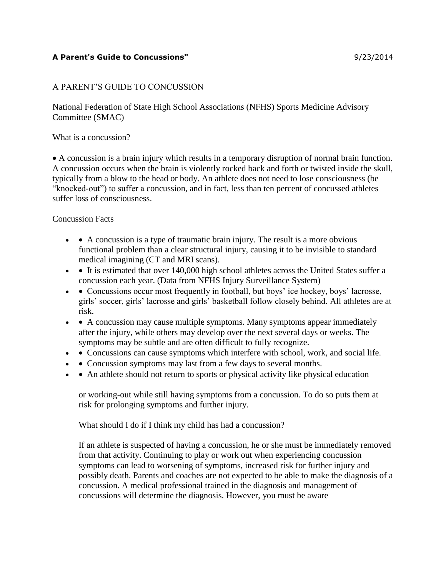# A PARENT'S GUIDE TO CONCUSSION

National Federation of State High School Associations (NFHS) Sports Medicine Advisory Committee (SMAC)

What is a concussion?

• A concussion is a brain injury which results in a temporary disruption of normal brain function. A concussion occurs when the brain is violently rocked back and forth or twisted inside the skull, typically from a blow to the head or body. An athlete does not need to lose consciousness (be "knocked-out") to suffer a concussion, and in fact, less than ten percent of concussed athletes suffer loss of consciousness.

## Concussion Facts

- A concussion is a type of traumatic brain injury. The result is a more obvious functional problem than a clear structural injury, causing it to be invisible to standard medical imagining (CT and MRI scans).
- • It is estimated that over 140,000 high school athletes across the United States suffer a concussion each year. (Data from NFHS Injury Surveillance System)
- Concussions occur most frequently in football, but boys' ice hockey, boys' lacrosse, girls' soccer, girls' lacrosse and girls' basketball follow closely behind. All athletes are at risk.
- • A concussion may cause multiple symptoms. Many symptoms appear immediately after the injury, while others may develop over the next several days or weeks. The symptoms may be subtle and are often difficult to fully recognize.
- • Concussions can cause symptoms which interfere with school, work, and social life.
- • Concussion symptoms may last from a few days to several months.
- • An athlete should not return to sports or physical activity like physical education

or working-out while still having symptoms from a concussion. To do so puts them at risk for prolonging symptoms and further injury.

What should I do if I think my child has had a concussion?

If an athlete is suspected of having a concussion, he or she must be immediately removed from that activity. Continuing to play or work out when experiencing concussion symptoms can lead to worsening of symptoms, increased risk for further injury and possibly death. Parents and coaches are not expected to be able to make the diagnosis of a concussion. A medical professional trained in the diagnosis and management of concussions will determine the diagnosis. However, you must be aware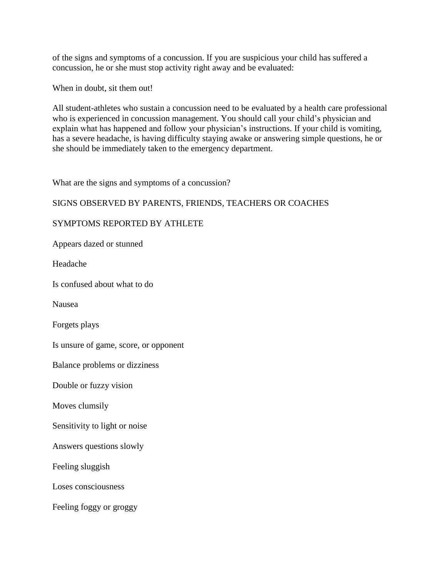of the signs and symptoms of a concussion. If you are suspicious your child has suffered a concussion, he or she must stop activity right away and be evaluated:

When in doubt, sit them out!

All student-athletes who sustain a concussion need to be evaluated by a health care professional who is experienced in concussion management. You should call your child's physician and explain what has happened and follow your physician's instructions. If your child is vomiting, has a severe headache, is having difficulty staying awake or answering simple questions, he or she should be immediately taken to the emergency department.

What are the signs and symptoms of a concussion?

## SIGNS OBSERVED BY PARENTS, FRIENDS, TEACHERS OR COACHES

## SYMPTOMS REPORTED BY ATHLETE

Appears dazed or stunned

Headache

Is confused about what to do

Nausea

Forgets plays

Is unsure of game, score, or opponent

Balance problems or dizziness

Double or fuzzy vision

Moves clumsily

Sensitivity to light or noise

Answers questions slowly

Feeling sluggish

Loses consciousness

Feeling foggy or groggy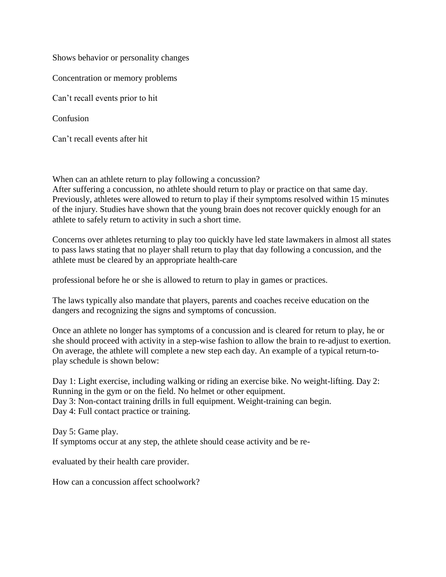Shows behavior or personality changes

Concentration or memory problems

Can't recall events prior to hit

Confusion

Can't recall events after hit

When can an athlete return to play following a concussion?

After suffering a concussion, no athlete should return to play or practice on that same day. Previously, athletes were allowed to return to play if their symptoms resolved within 15 minutes of the injury. Studies have shown that the young brain does not recover quickly enough for an athlete to safely return to activity in such a short time.

Concerns over athletes returning to play too quickly have led state lawmakers in almost all states to pass laws stating that no player shall return to play that day following a concussion, and the athlete must be cleared by an appropriate health-care

professional before he or she is allowed to return to play in games or practices.

The laws typically also mandate that players, parents and coaches receive education on the dangers and recognizing the signs and symptoms of concussion.

Once an athlete no longer has symptoms of a concussion and is cleared for return to play, he or she should proceed with activity in a step-wise fashion to allow the brain to re-adjust to exertion. On average, the athlete will complete a new step each day. An example of a typical return-toplay schedule is shown below:

Day 1: Light exercise, including walking or riding an exercise bike. No weight-lifting. Day 2: Running in the gym or on the field. No helmet or other equipment. Day 3: Non-contact training drills in full equipment. Weight-training can begin. Day 4: Full contact practice or training.

Day 5: Game play. If symptoms occur at any step, the athlete should cease activity and be re-

evaluated by their health care provider.

How can a concussion affect schoolwork?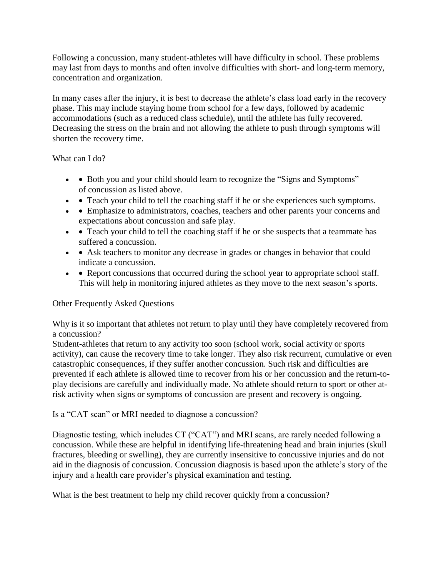Following a concussion, many student-athletes will have difficulty in school. These problems may last from days to months and often involve difficulties with short- and long-term memory, concentration and organization.

In many cases after the injury, it is best to decrease the athlete's class load early in the recovery phase. This may include staying home from school for a few days, followed by academic accommodations (such as a reduced class schedule), until the athlete has fully recovered. Decreasing the stress on the brain and not allowing the athlete to push through symptoms will shorten the recovery time.

What can I do?

- • Both you and your child should learn to recognize the "Signs and Symptoms" of concussion as listed above.
- • Teach your child to tell the coaching staff if he or she experiences such symptoms.
- • Emphasize to administrators, coaches, teachers and other parents your concerns and expectations about concussion and safe play.
- • Teach your child to tell the coaching staff if he or she suspects that a teammate has suffered a concussion.
- • Ask teachers to monitor any decrease in grades or changes in behavior that could indicate a concussion.
- • Report concussions that occurred during the school year to appropriate school staff. This will help in monitoring injured athletes as they move to the next season's sports.

# Other Frequently Asked Questions

Why is it so important that athletes not return to play until they have completely recovered from a concussion?

Student-athletes that return to any activity too soon (school work, social activity or sports activity), can cause the recovery time to take longer. They also risk recurrent, cumulative or even catastrophic consequences, if they suffer another concussion. Such risk and difficulties are prevented if each athlete is allowed time to recover from his or her concussion and the return-toplay decisions are carefully and individually made. No athlete should return to sport or other atrisk activity when signs or symptoms of concussion are present and recovery is ongoing.

Is a "CAT scan" or MRI needed to diagnose a concussion?

Diagnostic testing, which includes CT ("CAT") and MRI scans, are rarely needed following a concussion. While these are helpful in identifying life-threatening head and brain injuries (skull fractures, bleeding or swelling), they are currently insensitive to concussive injuries and do not aid in the diagnosis of concussion. Concussion diagnosis is based upon the athlete's story of the injury and a health care provider's physical examination and testing.

What is the best treatment to help my child recover quickly from a concussion?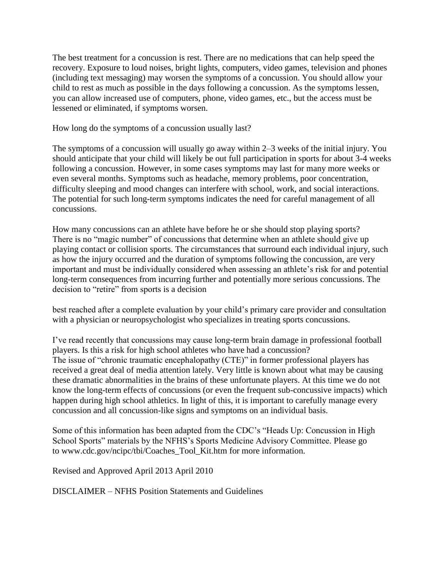The best treatment for a concussion is rest. There are no medications that can help speed the recovery. Exposure to loud noises, bright lights, computers, video games, television and phones (including text messaging) may worsen the symptoms of a concussion. You should allow your child to rest as much as possible in the days following a concussion. As the symptoms lessen, you can allow increased use of computers, phone, video games, etc., but the access must be lessened or eliminated, if symptoms worsen.

How long do the symptoms of a concussion usually last?

The symptoms of a concussion will usually go away within 2–3 weeks of the initial injury. You should anticipate that your child will likely be out full participation in sports for about 3-4 weeks following a concussion. However, in some cases symptoms may last for many more weeks or even several months. Symptoms such as headache, memory problems, poor concentration, difficulty sleeping and mood changes can interfere with school, work, and social interactions. The potential for such long-term symptoms indicates the need for careful management of all concussions.

How many concussions can an athlete have before he or she should stop playing sports? There is no "magic number" of concussions that determine when an athlete should give up playing contact or collision sports. The circumstances that surround each individual injury, such as how the injury occurred and the duration of symptoms following the concussion, are very important and must be individually considered when assessing an athlete's risk for and potential long-term consequences from incurring further and potentially more serious concussions. The decision to "retire" from sports is a decision

best reached after a complete evaluation by your child's primary care provider and consultation with a physician or neuropsychologist who specializes in treating sports concussions.

I've read recently that concussions may cause long-term brain damage in professional football players. Is this a risk for high school athletes who have had a concussion? The issue of "chronic traumatic encephalopathy (CTE)" in former professional players has received a great deal of media attention lately. Very little is known about what may be causing these dramatic abnormalities in the brains of these unfortunate players. At this time we do not know the long-term effects of concussions (or even the frequent sub-concussive impacts) which happen during high school athletics. In light of this, it is important to carefully manage every concussion and all concussion-like signs and symptoms on an individual basis.

Some of this information has been adapted from the CDC's "Heads Up: Concussion in High School Sports" materials by the NFHS's Sports Medicine Advisory Committee. Please go to www.cdc.gov/ncipc/tbi/Coaches\_Tool\_Kit.htm for more information.

Revised and Approved April 2013 April 2010

DISCLAIMER – NFHS Position Statements and Guidelines